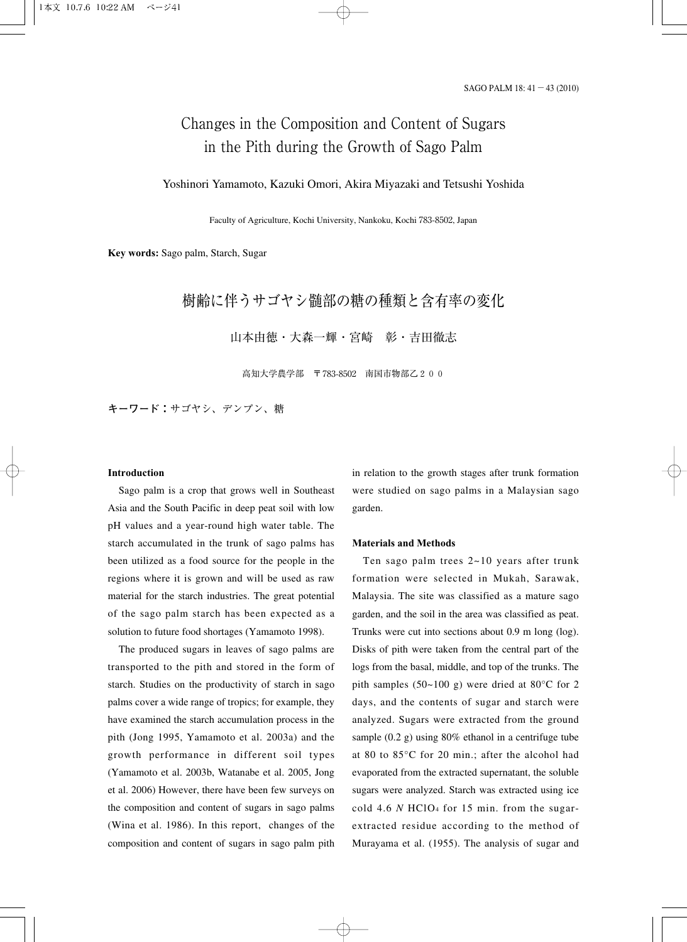# Changes in the Composition and Content of Sugars in the Pith during the Growth of Sago Palm

### Yoshinori Yamamoto, Kazuki Omori, Akira Miyazaki and Tetsushi Yoshida

Faculty of Agriculture, Kochi University, Nankoku, Kochi 783-8502, Japan

**Key words:** Sago palm, Starch, Sugar

## 樹齢に伴うサゴヤシ髄部の糖の種類と含有率の変化

山本由徳・大森一輝・宮崎 彰・吉田徹志

高知大学農学部 〒783-8502 南国市物部乙200

**キーワード:**サゴヤシ、デンプン、糖

#### **Introduction**

Sago palm is a crop that grows well in Southeast Asia and the South Pacific in deep peat soil with low pH values and a year-round high water table. The starch accumulated in the trunk of sago palms has been utilized as a food source for the people in the regions where it is grown and will be used as raw material for the starch industries. The great potential of the sago palm starch has been expected as a solution to future food shortages (Yamamoto 1998).

The produced sugars in leaves of sago palms are transported to the pith and stored in the form of starch. Studies on the productivity of starch in sago palms cover a wide range of tropics; for example, they have examined the starch accumulation process in the pith (Jong 1995, Yamamoto et al. 2003a) and the growth performance in different soil types (Yamamoto et al. 2003b, Watanabe et al. 2005, Jong et al. 2006) However, there have been few surveys on the composition and content of sugars in sago palms (Wina et al. 1986). In this report, changes of the composition and content of sugars in sago palm pith

in relation to the growth stages after trunk formation were studied on sago palms in a Malaysian sago garden.

#### **Materials and Methods**

Ten sago palm trees 2~10 years after trunk formation were selected in Mukah, Sarawak, Malaysia. The site was classified as a mature sago garden, and the soil in the area was classified as peat. Trunks were cut into sections about 0.9 m long (log). Disks of pith were taken from the central part of the logs from the basal, middle, and top of the trunks. The pith samples (50~100 g) were dried at 80°C for 2 days, and the contents of sugar and starch were analyzed. Sugars were extracted from the ground sample (0.2 g) using 80% ethanol in a centrifuge tube at 80 to 85°C for 20 min.; after the alcohol had evaporated from the extracted supernatant, the soluble sugars were analyzed. Starch was extracted using ice cold 4.6 *N* HClO4 for 15 min. from the sugarextracted residue according to the method of Murayama et al. (1955). The analysis of sugar and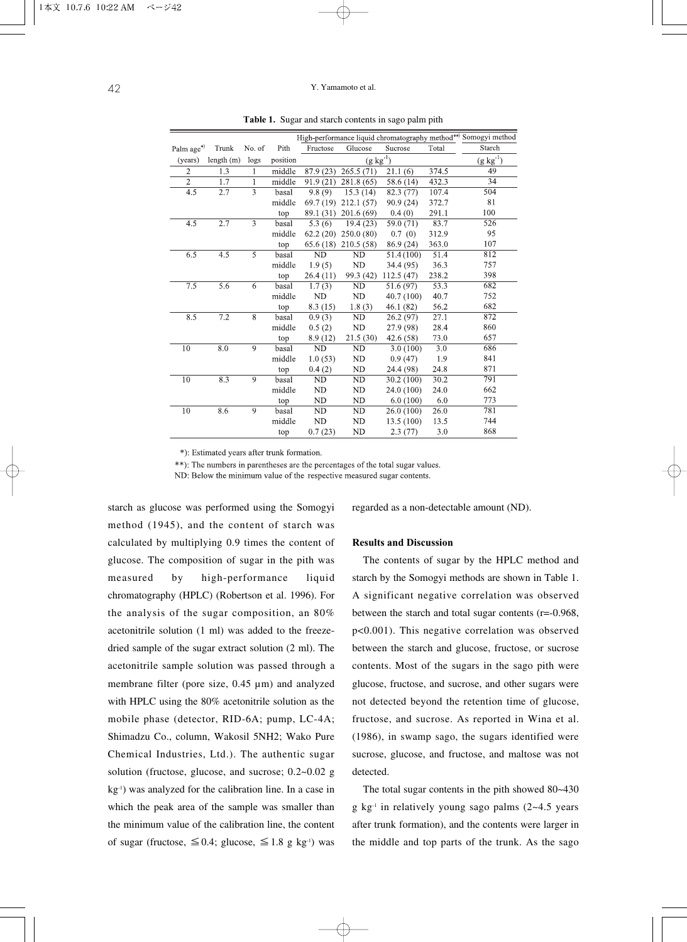| High-performance liquid chromatography method**> Somogyi method |           |                |          |                                      |                        |                        |                   |               |
|-----------------------------------------------------------------|-----------|----------------|----------|--------------------------------------|------------------------|------------------------|-------------------|---------------|
| Palm age*)                                                      | Trunk     | No. of         | Pith     | Fructose                             | Glucose                | Sucrose                | Total             | Starch        |
| (years)                                                         | length(m) | logs           | position | $(\underline{g} \ \underline{kg}^1)$ |                        |                        |                   | $(g kg^{-1})$ |
| $\overline{2}$                                                  | 1.3       | 1              | middle   | 87.9 (23)                            | 265.5(71)              | 21.1(6)                | 374.5             | 49            |
| $\overline{2}$                                                  | 1.7       | 1              | middle   | 91.9(21)                             | 281.8(65)              | 58.6 (14)              | 432.3             | 34            |
| 4.5                                                             | 2.7       | $\overline{3}$ | basal    | 9.8(9)                               | 15.3(14)               | 82.3(77)               | 107.4             | 504           |
|                                                                 |           |                | middle   | 69.7 (19)                            | 212.1(57)              | 90.9 (24)              | 372.7             | 81            |
|                                                                 |           |                | top      | 89.1 (31)                            | 201.6(69)              | 0.4(0)                 | 291.1             | 100           |
| 4.5                                                             | 2.7       | 3              | basal    | 5.3(6)                               | 19.4(23)               | 59.0 (71)              | 83.7              | 526           |
|                                                                 |           |                | middle   |                                      | $62.2(20)$ $250.0(80)$ | 0.7(0)                 | 312.9             | 95            |
|                                                                 |           |                | top      | 65.6 (18)                            | 210.5(58)              | 86.9 (24)              | 363.0             | 107           |
| 6.5                                                             | 4.5       | 5              | basal    | <b>ND</b>                            | <b>ND</b>              | $\overline{51.4(100)}$ | 51.4              | 812           |
|                                                                 |           |                | middle   | 1.9(5)                               | <b>ND</b>              | 34.4 (95)              | 36.3              | 757           |
|                                                                 |           |                | top      | 26.4(11)                             | 99.3 (42)              | 112.5(47)              | 238.2             | 398           |
| 7.5                                                             | 5.6       | 6              | basal    | 1.7(3)                               | <b>ND</b>              | 51.6 (97)              | $\overline{53.3}$ | 682           |
|                                                                 |           |                | middle   | <b>ND</b>                            | ND                     | 40.7 (100)             | 40.7              | 752           |
|                                                                 |           |                | top      | 8.3(15)                              | 1.8(3)                 | 46.1 (82)              | 56.2              | 682           |
| 8.5                                                             | 7.2       | 8              | basal    | 0.9(3)                               | ND                     | 26.2 (97)              | 27.1              | 872           |
|                                                                 |           |                | middle   | 0.5(2)                               | ND                     | 27.9 (98)              | 28.4              | 860           |
|                                                                 |           |                | top      | 8.9(12)                              | 21.5(30)               | 42.6 (58)              | 73.0              | 657           |
| 10                                                              | 8.0       | $\overline{9}$ | basal    | ND                                   | <b>ND</b>              | $\overline{3.0}$ (100) | 3.0               | 686           |
|                                                                 |           |                | middle   | 1.0(53)                              | ND                     | 0.9(47)                | 1.9               | 841           |
|                                                                 |           |                | top      | 0.4(2)                               | ND                     | 24.4 (98)              | 24.8              | 871           |
| 10                                                              | 8.3       | 9              | basal    | <b>ND</b>                            | <b>ND</b>              | 30.2 (100)             | 30.2              | 791           |
|                                                                 |           |                | middle   | <b>ND</b>                            | <b>ND</b>              | 24.0 (100)             | 24.0              | 662           |
|                                                                 |           |                | top      | ND                                   | ND                     | 6.0(100)               | 6.0               | 773           |
| 10                                                              | 8.6       | 9              | basal    | ND                                   | ND                     | 26.0 (100)             | 26.0              | 781           |
|                                                                 |           |                | middle   | <b>ND</b>                            | <b>ND</b>              | 13.5 (100)             | 13.5              | 744           |
|                                                                 |           |                | top      | 0.7(23)                              | <b>ND</b>              | 2.3(77)                | 3.0               | 868           |

**Table 1.** Sugar and starch contents in sago palm pith

\*): Estimated years after trunk formation.

\*\*): The numbers in parentheses are the percentages of the total sugar values.

ND: Below the minimum value of the respective measured sugar contents.

starch as glucose was performed using the Somogyi method (1945), and the content of starch was calculated by multiplying 0.9 times the content of glucose. The composition of sugar in the pith was measured by high-performance liquid chromatography (HPLC) (Robertson et al. 1996). For the analysis of the sugar composition, an 80% acetonitrile solution (1 ml) was added to the freezedried sample of the sugar extract solution (2 ml). The acetonitrile sample solution was passed through a membrane filter (pore size, 0.45 µm) and analyzed with HPLC using the 80% acetonitrile solution as the mobile phase (detector, RID-6A; pump, LC-4A; Shimadzu Co., column, Wakosil 5NH2; Wako Pure Chemical Industries, Ltd.). The authentic sugar solution (fructose, glucose, and sucrose; 0.2~0.02 g  $kg<sup>-1</sup>$ ) was analyzed for the calibration line. In a case in which the peak area of the sample was smaller than the minimum value of the calibration line, the content of sugar (fructose,  $\leq 0.4$ ; glucose,  $\leq 1.8$  g kg<sup>-1</sup>) was

regarded as a non-detectable amount (ND).

#### **Results and Discussion**

The contents of sugar by the HPLC method and starch by the Somogyi methods are shown in Table 1. A significant negative correlation was observed between the starch and total sugar contents (r=-0.968, p<0.001). This negative correlation was observed between the starch and glucose, fructose, or sucrose contents. Most of the sugars in the sago pith were glucose, fructose, and sucrose, and other sugars were not detected beyond the retention time of glucose, fructose, and sucrose. As reported in Wina et al. (1986), in swamp sago, the sugars identified were sucrose, glucose, and fructose, and maltose was not detected.

The total sugar contents in the pith showed 80~430  $g \text{ kg}^{-1}$  in relatively young sago palms (2~4.5 years after trunk formation), and the contents were larger in the middle and top parts of the trunk. As the sago